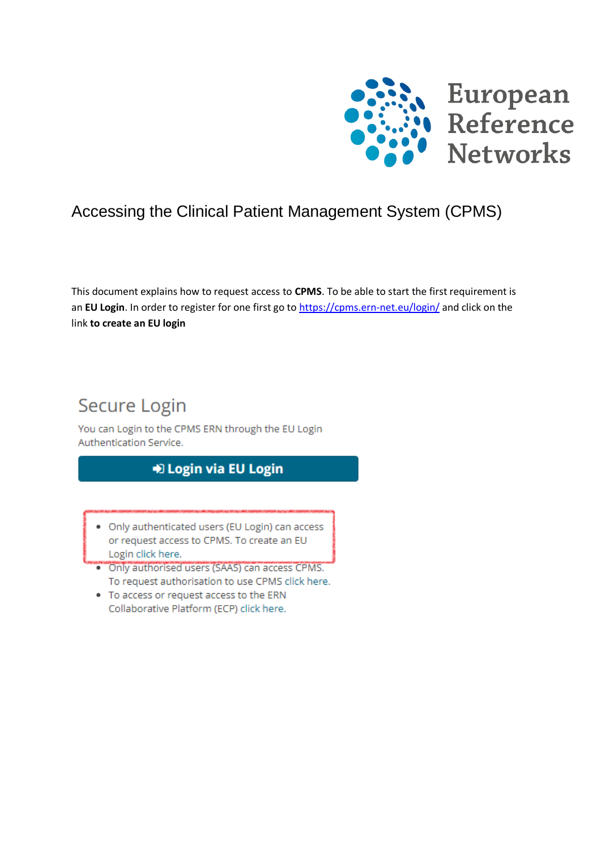

## Accessing the Clinical Patient Management System (CPMS)

This document explains how to request access to **CPMS**. To be able to start the first requirement is an **EU Login**. In order to register for one first go to<https://cpms.ern-net.eu/login/> and click on the link **to create an EU login**

# Secure Login

You can Login to the CPMS ERN through the EU Login Authentication Service.

## D Login via EU Login

- . Only authenticated users (EU Login) can access or request access to CPMS. To create an EU Login click here.
- . Only authorised users (SAAS) can access CPMS. To request authorisation to use CPMS click here.
- . To access or request access to the ERN Collaborative Platform (ECP) click here.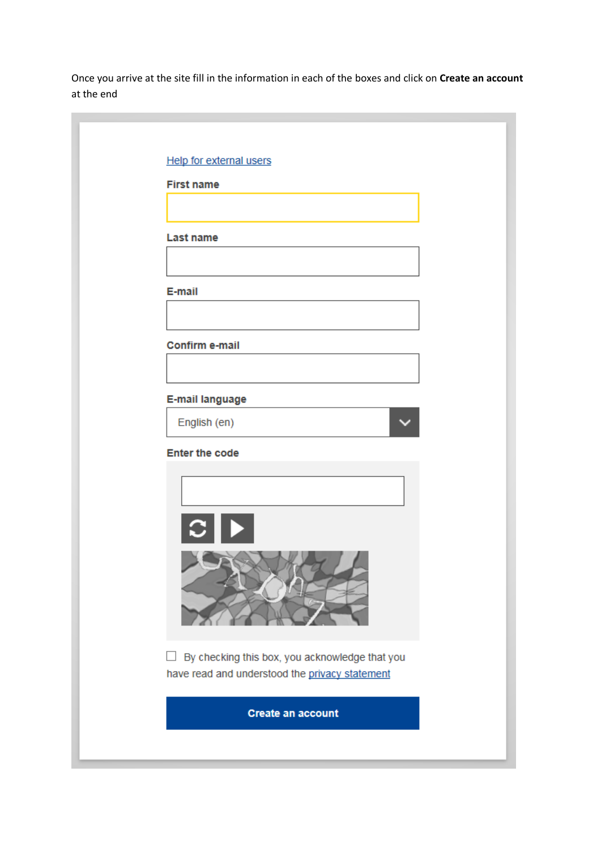Once you arrive at the site fill in the information in each of the boxes and click on **Create an account** at the end

| Help for external users                                  |
|----------------------------------------------------------|
| <b>First name</b>                                        |
|                                                          |
| <b>Last name</b>                                         |
|                                                          |
| E-mail                                                   |
|                                                          |
| Confirm e-mail                                           |
|                                                          |
| E-mail language                                          |
| English (en)                                             |
| <b>Enter the code</b>                                    |
|                                                          |
|                                                          |
| $ C $ $\blacktriangleright$                              |
|                                                          |
|                                                          |
|                                                          |
|                                                          |
| By checking this box, you acknowledge that you<br>$\Box$ |
| have read and understood the privacy statement           |
| <b>Create an account</b>                                 |
|                                                          |
|                                                          |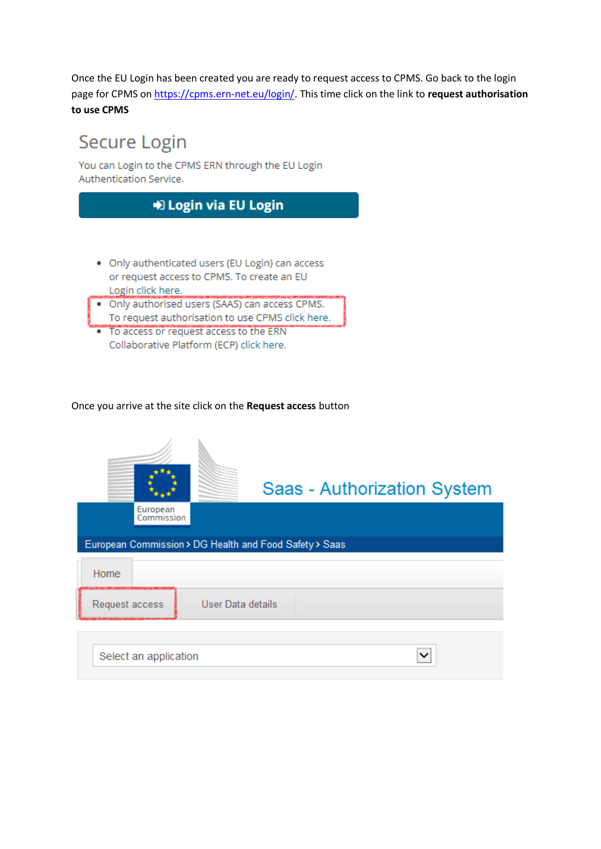Once the EU Login has been created you are ready to request access to CPMS. Go back to the login page for CPMS on [https://cpms.ern-net.eu/login/.](https://cpms.ern-net.eu/login/) This time click on the link to **request authorisation to use CPMS**

# Secure Login

You can Login to the CPMS ERN through the EU Login Authentication Service.



Once you arrive at the site click on the **Request access** button

|                        | Saas - Authorization System                            |
|------------------------|--------------------------------------------------------|
| European<br>Commission |                                                        |
|                        | European Commission > DG Health and Food Safety > Saas |
| Home                   |                                                        |
| Request access         | User Data details                                      |
| Select an application  |                                                        |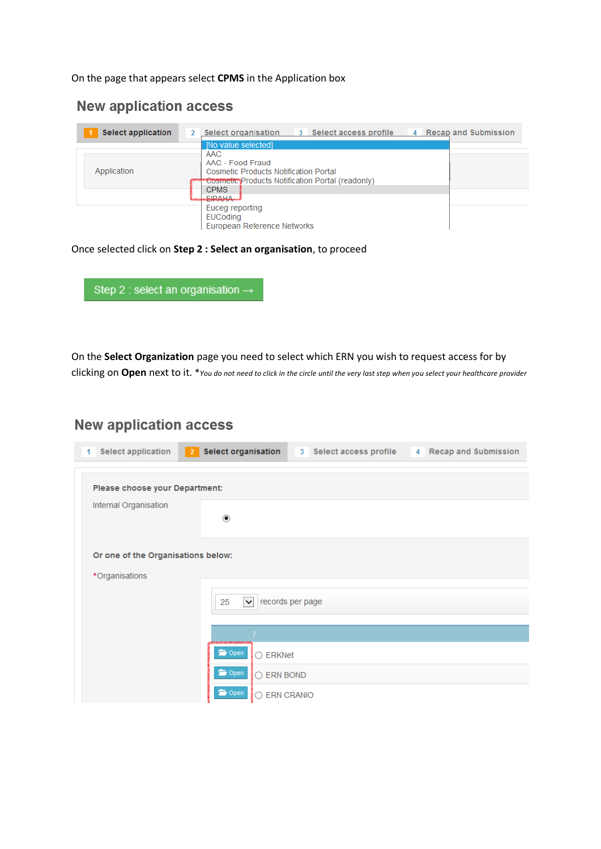#### On the page that appears select **CPMS** in the Application box

### **New application access**

| <b>Select application</b> | <b>Select organisation</b><br>3 Select access profile<br>4 Recap and Submission                                                                                                                                                                           |  |
|---------------------------|-----------------------------------------------------------------------------------------------------------------------------------------------------------------------------------------------------------------------------------------------------------|--|
| Application               | [No value selected]<br>AAC<br>AAC - Food Fraud<br><b>Cosmetic Products Notification Portal</b><br>"Cosmetic" Products Notification Portal (readonly)<br><b>CPMS</b><br><b>EIRAHA</b><br>Euceg reporting<br><b>EUCoding</b><br>European Reference Networks |  |

#### Once selected click on **Step 2 : Select an organisation**, to proceed

|  | Step 2 : select an organisation $\rightarrow$ |
|--|-----------------------------------------------|
|  |                                               |

On the **Select Organization** page you need to select which ERN you wish to request access for by clicking on **Open** next to it. \**You do not need to click in the circle until the very last step when you select your healthcare provider*

## **New application access**

| Select application<br>1            | Select organisation<br>3 Select access profile<br>$\vert$ 2<br>4 Recap and Submission |
|------------------------------------|---------------------------------------------------------------------------------------|
| Please choose your Department:     |                                                                                       |
| Internal Organisation              | $_{\circ}\,$                                                                          |
| Or one of the Organisations below: |                                                                                       |
| *Organisations                     |                                                                                       |
|                                    | records per page<br>25<br>$\checkmark$                                                |
|                                    |                                                                                       |
|                                    | <b>Open</b><br>○ ERKNet                                                               |
|                                    | Open<br>○ ERN BOND                                                                    |
|                                    | Open<br><b>ERN CRANIO</b>                                                             |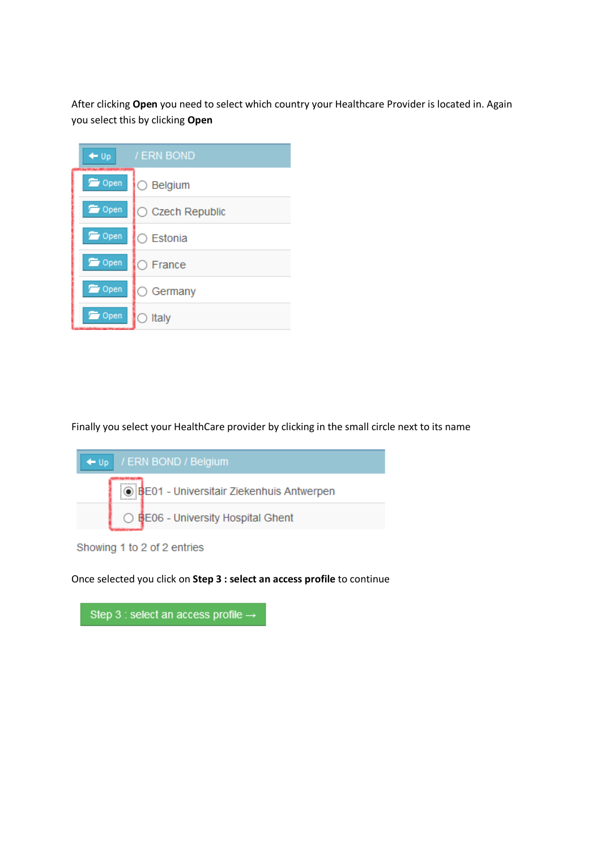After clicking **Open** you need to select which country your Healthcare Provider is located in. Again you select this by clicking **Open**

| $+ 0p$        | / ERN BOND         |
|---------------|--------------------|
| <b>Open</b>   | $\bigcirc$ Belgium |
| Open          | ◯ Czech Republic   |
| <b>D</b> Open | ○ Estonia          |
| <b>D</b> Open | $\bigcirc$ France  |
| <b>D</b> Open | $\bigcirc$ Germany |
| Open          | Italy              |

Finally you select your HealthCare provider by clicking in the small circle next to its name



Showing 1 to 2 of 2 entries

Once selected you click on **Step 3 : select an access profile** to continue

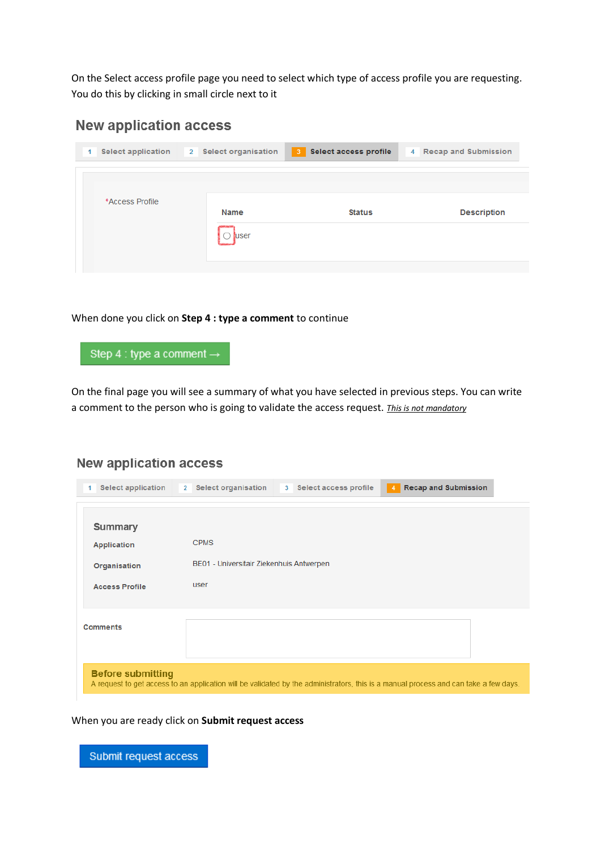On the Select access profile page you need to select which type of access profile you are requesting. You do this by clicking in small circle next to it

### **New application access**

| <b>Select application</b> | 2 Select organisation | <b>Select access profile</b><br>$\mathbf{3}$ | 4 Recap and Submission |
|---------------------------|-----------------------|----------------------------------------------|------------------------|
|                           |                       |                                              |                        |
| *Access Profile           | <b>Name</b><br>user   | <b>Status</b>                                | <b>Description</b>     |

When done you click on **Step 4 : type a comment** to continue



On the final page you will see a summary of what you have selected in previous steps. You can write a comment to the person who is going to validate the access request. *This is not mandatory*

### **New application access**

| 1 | <b>Select application</b> | <b>Recap and Submission</b><br><b>Select organisation</b><br>Select access profile<br>$\overline{2}$<br>3 <sup>7</sup><br>4          |
|---|---------------------------|--------------------------------------------------------------------------------------------------------------------------------------|
|   |                           |                                                                                                                                      |
|   | <b>Summary</b>            |                                                                                                                                      |
|   | <b>Application</b>        | <b>CPMS</b>                                                                                                                          |
|   |                           |                                                                                                                                      |
|   | Organisation              | BE01 - Universitair Ziekenhuis Antwerpen                                                                                             |
|   |                           |                                                                                                                                      |
|   | <b>Access Profile</b>     | user                                                                                                                                 |
|   |                           |                                                                                                                                      |
|   |                           |                                                                                                                                      |
|   | <b>Comments</b>           |                                                                                                                                      |
|   |                           |                                                                                                                                      |
|   |                           |                                                                                                                                      |
|   |                           |                                                                                                                                      |
|   | <b>Before submitting</b>  |                                                                                                                                      |
|   |                           | A request to get access to an application will be validated by the administrators, this is a manual process and can take a few days. |
|   |                           |                                                                                                                                      |

When you are ready click on **Submit request access**

Submit request access